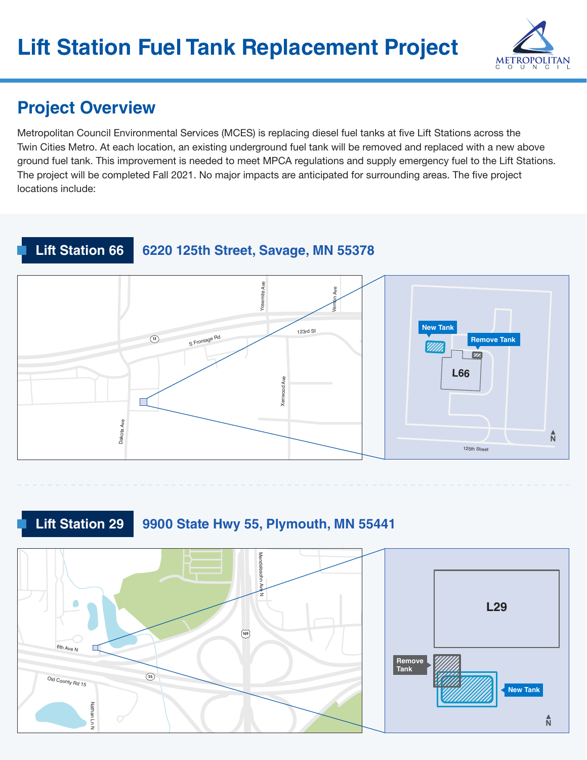

# **Project Overview**

Metropolitan Council Environmental Services (MCES) is replacing diesel fuel tanks at five Lift Stations across the Twin Cities Metro. At each location, an existing underground fuel tank will be removed and replaced with a new above ground fuel tank. This improvement is needed to meet MPCA regulations and supply emergency fuel to the Lift Stations. The project will be completed Fall 2021. No major impacts are anticipated for surrounding areas. The five project locations include:

**Lift Station 66 6220 125th Street, Savage, MN 55378**



### Lift Station 29 9900 State Hwy 55, Plymouth, MN 55441

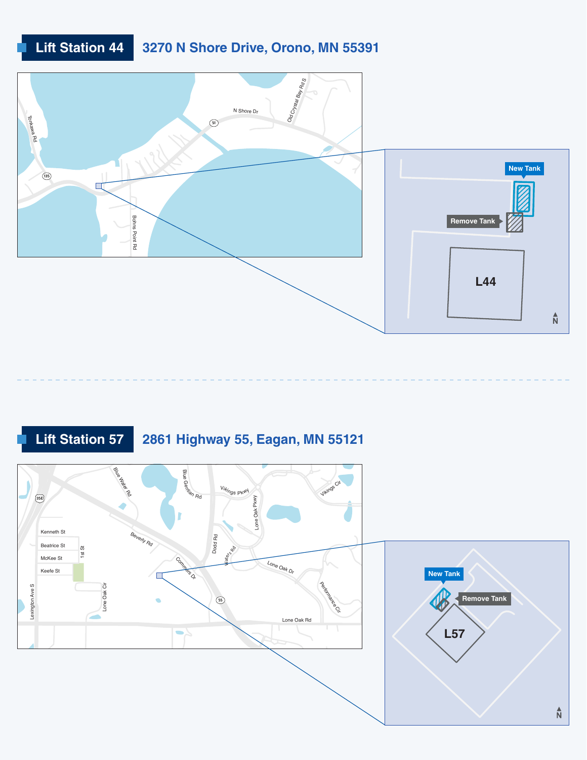## **Lift Station 44 3270 N Shore Drive, Orono, MN 55391**



**Lift Station 57 2861 Highway 55, Eagan, MN 55121**